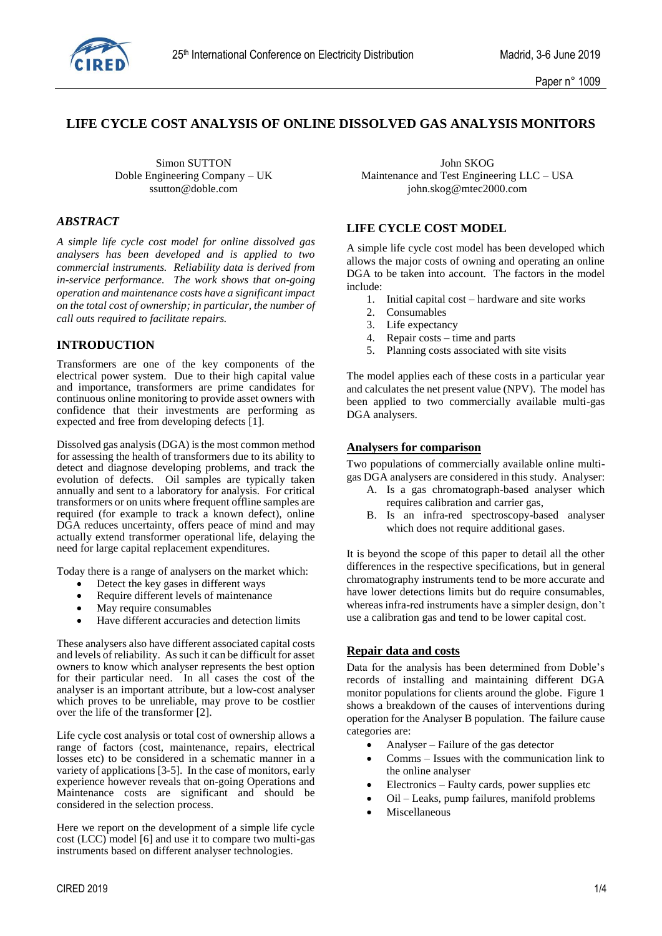

# **LIFE CYCLE COST ANALYSIS OF ONLINE DISSOLVED GAS ANALYSIS MONITORS**

#### *ABSTRACT*

*A simple life cycle cost model for online dissolved gas analysers has been developed and is applied to two commercial instruments. Reliability data is derived from in-service performance. The work shows that on-going operation and maintenance costs have a significant impact on the total cost of ownership; in particular, the number of call outs required to facilitate repairs.*

### **INTRODUCTION**

Transformers are one of the key components of the electrical power system. Due to their high capital value and importance, transformers are prime candidates for continuous online monitoring to provide asset owners with confidence that their investments are performing as expected and free from developing defects [1].

Dissolved gas analysis (DGA) is the most common method for assessing the health of transformers due to its ability to detect and diagnose developing problems, and track the evolution of defects. Oil samples are typically taken annually and sent to a laboratory for analysis. For critical transformers or on units where frequent offline samples are required (for example to track a known defect), online DGA reduces uncertainty, offers peace of mind and may actually extend transformer operational life, delaying the need for large capital replacement expenditures.

Today there is a range of analysers on the market which:

- Detect the key gases in different ways
- Require different levels of maintenance
- May require consumables
- Have different accuracies and detection limits

These analysers also have different associated capital costs and levels of reliability. As such it can be difficult for asset owners to know which analyser represents the best option for their particular need. In all cases the cost of the analyser is an important attribute, but a low-cost analyser which proves to be unreliable, may prove to be costlier over the life of the transformer [2].

Life cycle cost analysis or total cost of ownership allows a range of factors (cost, maintenance, repairs, electrical losses etc) to be considered in a schematic manner in a variety of applications [3-5]. In the case of monitors, early experience however reveals that on-going Operations and Maintenance costs are significant and should be considered in the selection process.

Here we report on the development of a simple life cycle cost (LCC) model [6] and use it to compare two multi-gas instruments based on different analyser technologies.

Simon SUTTON John SKOG Doble Engineering Company – UK Maintenance and Test Engineering LLC – USA<br>ssutton@doble.com iohn.skog@mtec2000.com [john.skog@mtec2000.com](mailto:john.skog@mtec2000.com)

### **LIFE CYCLE COST MODEL**

A simple life cycle cost model has been developed which allows the major costs of owning and operating an online DGA to be taken into account. The factors in the model include:

- 1. Initial capital cost hardware and site works
- 2. Consumables
- 3. Life expectancy
- 4. Repair costs time and parts
- 5. Planning costs associated with site visits

The model applies each of these costs in a particular year and calculates the net present value (NPV). The model has been applied to two commercially available multi-gas DGA analysers.

#### **Analysers for comparison**

Two populations of commercially available online multigas DGA analysers are considered in this study. Analyser:

- A. Is a gas chromatograph-based analyser which requires calibration and carrier gas,
- B. Is an infra-red spectroscopy-based analyser which does not require additional gases.

It is beyond the scope of this paper to detail all the other differences in the respective specifications, but in general chromatography instruments tend to be more accurate and have lower detections limits but do require consumables, whereas infra-red instruments have a simpler design, don't use a calibration gas and tend to be lower capital cost.

### **Repair data and costs**

Data for the analysis has been determined from Doble's records of installing and maintaining different DGA monitor populations for clients around the globe. Figure 1 shows a breakdown of the causes of interventions during operation for the Analyser B population. The failure cause categories are:

- Analyser Failure of the gas detector
- Comms Issues with the communication link to the online analyser
- Electronics Faulty cards, power supplies etc
- Oil Leaks, pump failures, manifold problems
- Miscellaneous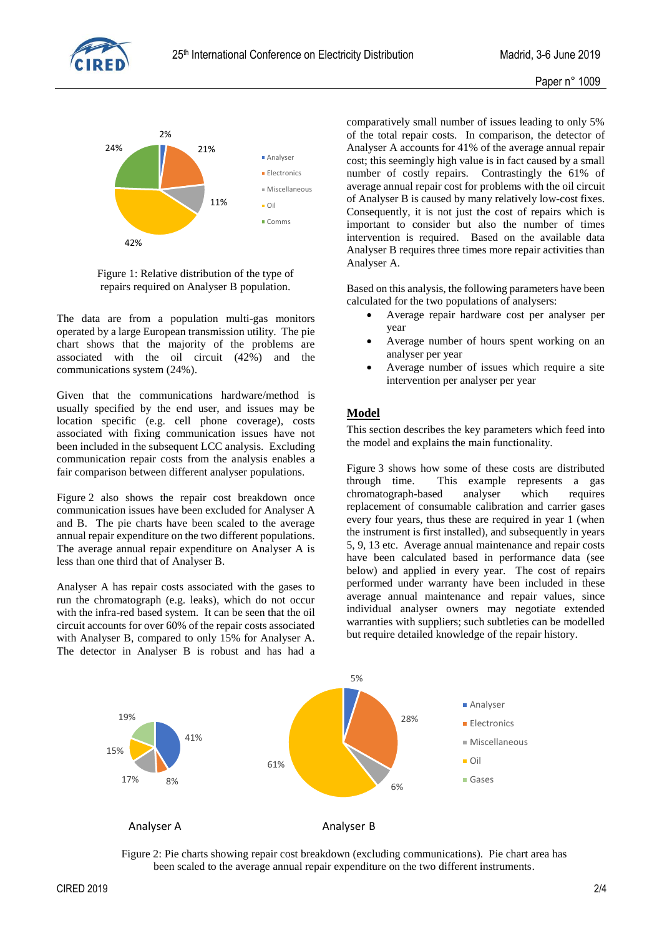



Figure 1: Relative distribution of the type of repairs required on Analyser B population.

The data are from a population multi-gas monitors operated by a large European transmission utility. The pie chart shows that the majority of the problems are associated with the oil circuit (42%) and the communications system (24%).

Given that the communications hardware/method is usually specified by the end user, and issues may be location specific (e.g. cell phone coverage), costs associated with fixing communication issues have not been included in the subsequent LCC analysis. Excluding communication repair costs from the analysis enables a fair comparison between different analyser populations.

Figure 2 also shows the repair cost breakdown once communication issues have been excluded for Analyser A and B. The pie charts have been scaled to the average annual repair expenditure on the two different populations. The average annual repair expenditure on Analyser A is less than one third that of Analyser B.

Analyser A has repair costs associated with the gases to run the chromatograph (e.g. leaks), which do not occur with the infra-red based system. It can be seen that the oil circuit accounts for over 60% of the repair costs associated with Analyser B, compared to only 15% for Analyser A. The detector in Analyser B is robust and has had a comparatively small number of issues leading to only 5% of the total repair costs. In comparison, the detector of Analyser A accounts for 41% of the average annual repair cost; this seemingly high value is in fact caused by a small number of costly repairs. Contrastingly the 61% of average annual repair cost for problems with the oil circuit of Analyser B is caused by many relatively low-cost fixes. Consequently, it is not just the cost of repairs which is important to consider but also the number of times intervention is required. Based on the available data Analyser B requires three times more repair activities than Analyser A.

Based on this analysis, the following parameters have been calculated for the two populations of analysers:

- Average repair hardware cost per analyser per year
- Average number of hours spent working on an analyser per year
- Average number of issues which require a site intervention per analyser per year

# **Model**

This section describes the key parameters which feed into the model and explains the main functionality.

Figure 3 shows how some of these costs are distributed through time. This example represents a gas chromatograph-based analyser which requires replacement of consumable calibration and carrier gases every four years, thus these are required in year 1 (when the instrument is first installed), and subsequently in years 5, 9, 13 etc. Average annual maintenance and repair costs have been calculated based in performance data (see below) and applied in every year. The cost of repairs performed under warranty have been included in these average annual maintenance and repair values, since individual analyser owners may negotiate extended warranties with suppliers; such subtleties can be modelled but require detailed knowledge of the repair history.



Figure 2: Pie charts showing repair cost breakdown (excluding communications). Pie chart area has been scaled to the average annual repair expenditure on the two different instruments.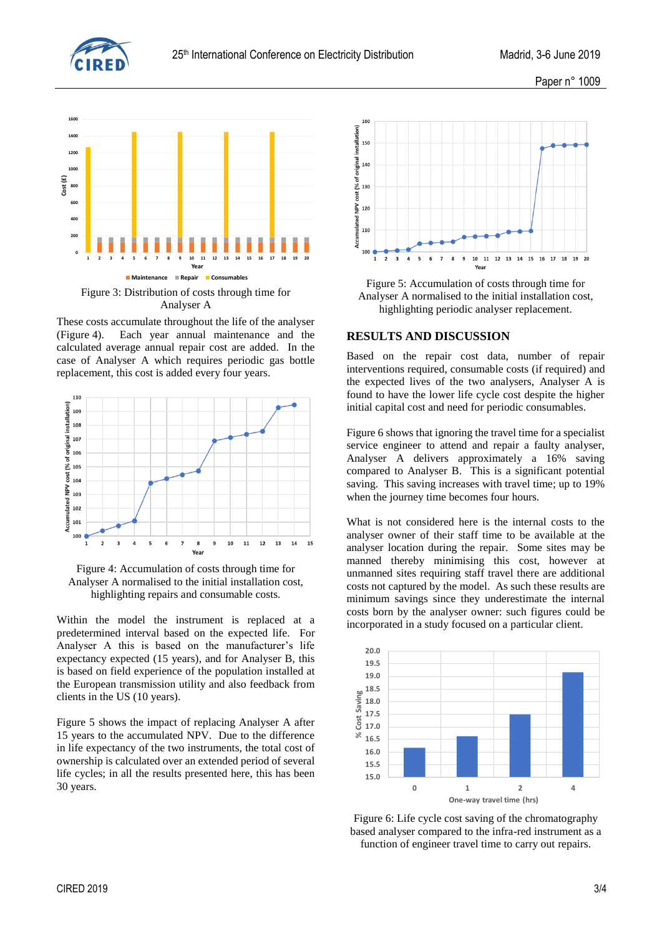



These costs accumulate throughout the life of the analyser (Figure 4). Each year annual maintenance and the calculated average annual repair cost are added. In the case of Analyser A which requires periodic gas bottle replacement, this cost is added every four years.



Figure 4: Accumulation of costs through time for Analyser A normalised to the initial installation cost, highlighting repairs and consumable costs.

Within the model the instrument is replaced at a predetermined interval based on the expected life. For Analyser A this is based on the manufacturer's life expectancy expected (15 years), and for Analyser B, this is based on field experience of the population installed at the European transmission utility and also feedback from clients in the US (10 years).

Figure 5 shows the impact of replacing Analyser A after 15 years to the accumulated NPV. Due to the difference in life expectancy of the two instruments, the total cost of ownership is calculated over an extended period of several life cycles; in all the results presented here, this has been 30 years.



Figure 5: Accumulation of costs through time for Analyser A normalised to the initial installation cost, highlighting periodic analyser replacement.

#### **RESULTS AND DISCUSSION**

Based on the repair cost data, number of repair interventions required, consumable costs (if required) and the expected lives of the two analysers, Analyser A is found to have the lower life cycle cost despite the higher initial capital cost and need for periodic consumables.

Figure 6 shows that ignoring the travel time for a specialist service engineer to attend and repair a faulty analyser, Analyser A delivers approximately a 16% saving compared to Analyser B. This is a significant potential saving. This saving increases with travel time; up to 19% when the journey time becomes four hours.

What is not considered here is the internal costs to the analyser owner of their staff time to be available at the analyser location during the repair. Some sites may be manned thereby minimising this cost, however at unmanned sites requiring staff travel there are additional costs not captured by the model. As such these results are minimum savings since they underestimate the internal costs born by the analyser owner: such figures could be incorporated in a study focused on a particular client.



Figure 6: Life cycle cost saving of the chromatography based analyser compared to the infra-red instrument as a function of engineer travel time to carry out repairs.